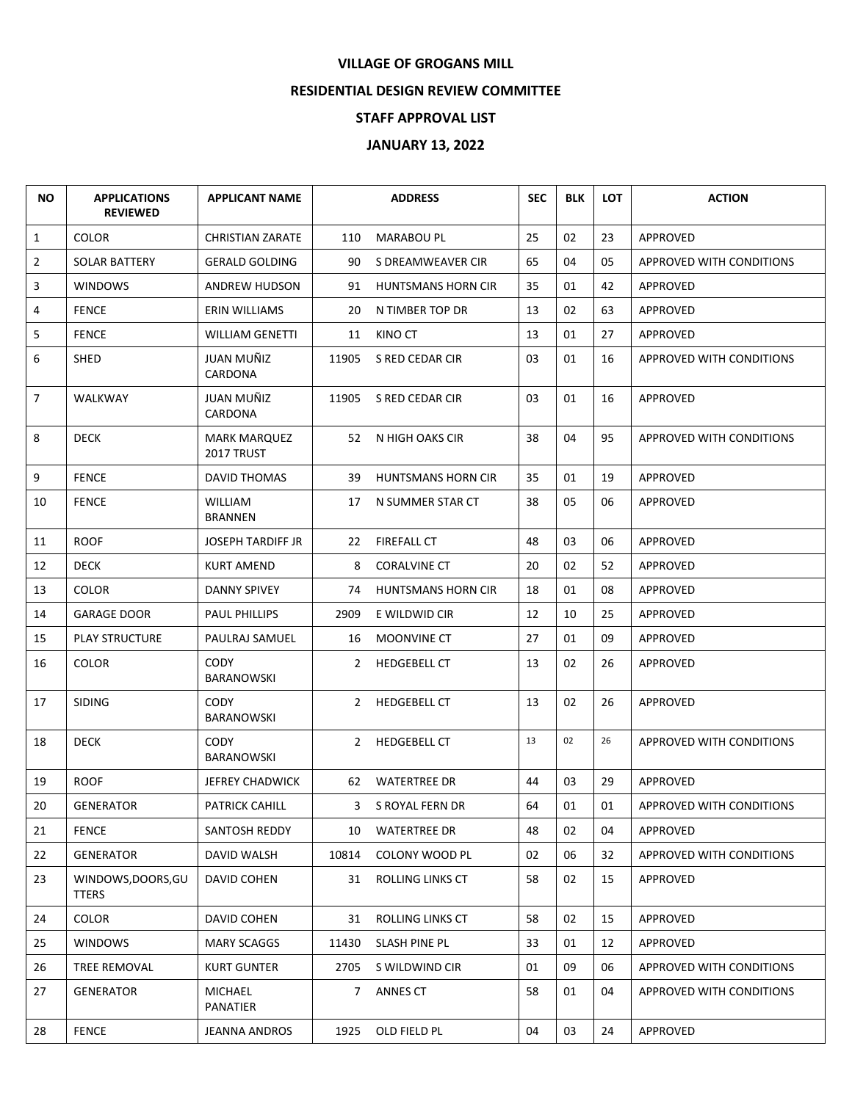## **VILLAGE OF GROGANS MILL**

## **RESIDENTIAL DESIGN REVIEW COMMITTEE**

## **STAFF APPROVAL LIST**

## **JANUARY 13, 2022**

| <b>NO</b>    | <b>APPLICATIONS</b><br><b>REVIEWED</b> | <b>APPLICANT NAME</b>            |       | <b>ADDRESS</b>            | <b>SEC</b> | <b>BLK</b> | <b>LOT</b> | <b>ACTION</b>                   |
|--------------|----------------------------------------|----------------------------------|-------|---------------------------|------------|------------|------------|---------------------------------|
| $\mathbf{1}$ | <b>COLOR</b>                           | <b>CHRISTIAN ZARATE</b>          | 110   | <b>MARABOU PL</b>         | 25         | 02         | 23         | APPROVED                        |
| 2            | <b>SOLAR BATTERY</b>                   | <b>GERALD GOLDING</b>            | 90    | S DREAMWEAVER CIR         | 65         | 04         | 05         | APPROVED WITH CONDITIONS        |
| 3            | <b>WINDOWS</b>                         | ANDREW HUDSON                    | 91    | <b>HUNTSMANS HORN CIR</b> | 35         | 01         | 42         | APPROVED                        |
| 4            | <b>FENCE</b>                           | ERIN WILLIAMS                    | 20    | N TIMBER TOP DR           | 13         | 02         | 63         | APPROVED                        |
| 5            | <b>FENCE</b>                           | WILLIAM GENETTI                  |       | 11 KINO CT                | 13         | 01         | 27         | APPROVED                        |
| 6            | SHED                                   | JUAN MUÑIZ<br>CARDONA            | 11905 | S RED CEDAR CIR           | 03         | 01         | 16         | APPROVED WITH CONDITIONS        |
| 7            | <b>WALKWAY</b>                         | JUAN MUÑIZ<br>CARDONA            | 11905 | S RED CEDAR CIR           | 03         | 01         | 16         | APPROVED                        |
| 8            | <b>DECK</b>                            | MARK MARQUEZ<br>2017 TRUST       |       | 52 N HIGH OAKS CIR        | 38         | 04         | 95         | APPROVED WITH CONDITIONS        |
| 9            | <b>FENCE</b>                           | <b>DAVID THOMAS</b>              | 39    | <b>HUNTSMANS HORN CIR</b> | 35         | 01         | 19         | APPROVED                        |
| 10           | <b>FENCE</b>                           | <b>WILLIAM</b><br><b>BRANNEN</b> | 17    | N SUMMER STAR CT          | 38         | 05         | 06         | <b>APPROVED</b>                 |
| 11           | <b>ROOF</b>                            | <b>JOSEPH TARDIFF JR</b>         |       | 22 FIREFALL CT            | 48         | 03         | 06         | APPROVED                        |
| 12           | <b>DECK</b>                            | <b>KURT AMEND</b>                | 8     | <b>CORALVINE CT</b>       | 20         | 02         | 52         | APPROVED                        |
| 13           | <b>COLOR</b>                           | <b>DANNY SPIVEY</b>              | 74    | <b>HUNTSMANS HORN CIR</b> | 18         | 01         | 08         | APPROVED                        |
| 14           | <b>GARAGE DOOR</b>                     | <b>PAUL PHILLIPS</b>             | 2909  | E WILDWID CIR             | 12         | 10         | 25         | <b>APPROVED</b>                 |
| 15           | <b>PLAY STRUCTURE</b>                  | PAULRAJ SAMUEL                   | 16    | <b>MOONVINE CT</b>        | 27         | 01         | 09         | APPROVED                        |
| 16           | <b>COLOR</b>                           | <b>CODY</b><br>BARANOWSKI        |       | 2 HEDGEBELL CT            | 13         | 02         | 26         | <b>APPROVED</b>                 |
| 17           | <b>SIDING</b>                          | CODY<br>BARANOWSKI               |       | 2 HEDGEBELL CT            | 13         | 02         | 26         | APPROVED                        |
| 18           | <b>DECK</b>                            | <b>CODY</b><br>BARANOWSKI        |       | 2 HEDGEBELL CT            | 13         | 02         | 26         | <b>APPROVED WITH CONDITIONS</b> |
| 19           | <b>ROOF</b>                            | JEFREY CHADWICK                  |       | 62 WATERTREE DR           | 44         | 03         | 29         | APPROVED                        |
| $20\,$       | GENERATOR                              | <b>PATRICK CAHILL</b>            |       | 3 S ROYAL FERN DR         | 64         | 01         | 01         | APPROVED WITH CONDITIONS        |
| 21           | <b>FENCE</b>                           | SANTOSH REDDY                    |       | 10 WATERTREE DR           | 48         | 02         | 04         | APPROVED                        |
| 22           | <b>GENERATOR</b>                       | <b>DAVID WALSH</b>               | 10814 | <b>COLONY WOOD PL</b>     | 02         | 06         | 32         | APPROVED WITH CONDITIONS        |
| 23           | WINDOWS, DOORS, GU<br><b>TTERS</b>     | DAVID COHEN                      |       | 31 ROLLING LINKS CT       | 58         | 02         | 15         | APPROVED                        |
| 24           | <b>COLOR</b>                           | DAVID COHEN                      |       | 31 ROLLING LINKS CT       | 58         | 02         | 15         | APPROVED                        |
| 25           | <b>WINDOWS</b>                         | <b>MARY SCAGGS</b>               |       | 11430 SLASH PINE PL       | 33         | 01         | 12         | APPROVED                        |
| 26           | TREE REMOVAL                           | <b>KURT GUNTER</b>               |       | 2705 S WILDWIND CIR       | 01         | 09         | 06         | <b>APPROVED WITH CONDITIONS</b> |
| 27           | <b>GENERATOR</b>                       | MICHAEL<br>PANATIER              |       | 7 ANNES CT                | 58         | 01         | 04         | APPROVED WITH CONDITIONS        |
| 28           | <b>FENCE</b>                           | JEANNA ANDROS                    | 1925  | OLD FIELD PL              | 04         | 03         | 24         | APPROVED                        |